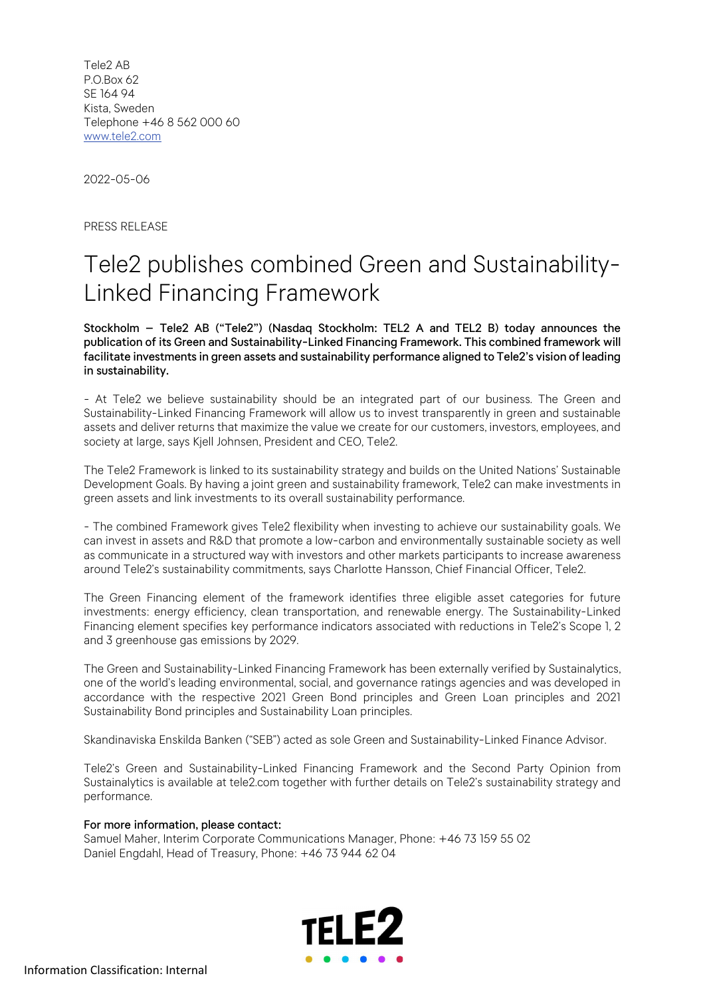Tele2 AB P.O.Box 62 SE 164 94 Kista, Sweden Telephone +46 8 562 000 60 www.tele2.com

2022-05-06

PRESS RELEASE

## Tele2 publishes combined Green and Sustainability-Linked Financing Framework

Stockholm – Tele2 AB ("Tele2") (Nasdaq Stockholm: TEL2 A and TEL2 B) today announces the publication of its Green and Sustainability-Linked Financing Framework. This combined framework will facilitate investments in green assets and sustainability performance aligned to Tele2's vision of leading in sustainability.

- At Tele2 we believe sustainability should be an integrated part of our business. The Green and Sustainability-Linked Financing Framework will allow us to invest transparently in green and sustainable assets and deliver returns that maximize the value we create for our customers, investors, employees, and society at large, says Kjell Johnsen, President and CEO, Tele2.

The Tele2 Framework is linked to its sustainability strategy and builds on the United Nations' Sustainable Development Goals. By having a joint green and sustainability framework, Tele2 can make investments in green assets and link investments to its overall sustainability performance.

- The combined Framework gives Tele2 flexibility when investing to achieve our sustainability goals. We can invest in assets and R&D that promote a low-carbon and environmentally sustainable society as well as communicate in a structured way with investors and other markets participants to increase awareness around Tele2's sustainability commitments, says Charlotte Hansson, Chief Financial Officer, Tele2.

The Green Financing element of the framework identifies three eligible asset categories for future investments: energy efficiency, clean transportation, and renewable energy. The Sustainability-Linked Financing element specifies key performance indicators associated with reductions in Tele2's Scope 1, 2 and 3 greenhouse gas emissions by 2029.

The Green and Sustainability-Linked Financing Framework has been externally verified by Sustainalytics, one of the world's leading environmental, social, and governance ratings agencies and was developed in accordance with the respective 2021 Green Bond principles and Green Loan principles and 2021 Sustainability Bond principles and Sustainability Loan principles.

Skandinaviska Enskilda Banken ("SEB") acted as sole Green and Sustainability-Linked Finance Advisor.

Tele2's Green and Sustainability-Linked Financing Framework and the Second Party Opinion from Sustainalytics is available at tele2.com together with further details on Tele2's sustainability strategy and performance.

## For more information, please contact:

Samuel Maher, Interim Corporate Communications Manager, Phone: +46 73 159 55 02 Daniel Engdahl, Head of Treasury, Phone: +46 73 944 62 04